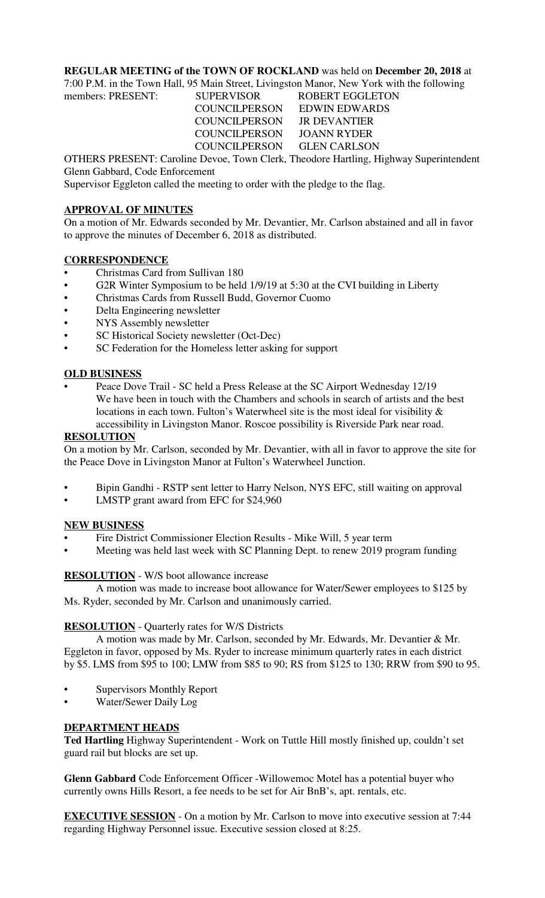## **REGULAR MEETING of the TOWN OF ROCKLAND** was held on **December 20, 2018** at

7:00 P.M. in the Town Hall, 95 Main Street, Livingston Manor, New York with the following

members: PRESENT: SUPERVISOR ROBERT EGGLETON COUNCILPERSON EDWIN EDWARDS COUNCILPERSON JR DEVANTIER COUNCILPERSON JOANN RYDER COUNCILPERSON GLEN CARLSON

OTHERS PRESENT: Caroline Devoe, Town Clerk, Theodore Hartling, Highway Superintendent Glenn Gabbard, Code Enforcement

Supervisor Eggleton called the meeting to order with the pledge to the flag.

## **APPROVAL OF MINUTES**

On a motion of Mr. Edwards seconded by Mr. Devantier, Mr. Carlson abstained and all in favor to approve the minutes of December 6, 2018 as distributed.

## **CORRESPONDENCE**

- Christmas Card from Sullivan 180
- G2R Winter Symposium to be held 1/9/19 at 5:30 at the CVI building in Liberty
- Christmas Cards from Russell Budd, Governor Cuomo
- Delta Engineering newsletter
- NYS Assembly newsletter
- SC Historical Society newsletter (Oct-Dec)
- SC Federation for the Homeless letter asking for support

#### **OLD BUSINESS**

• Peace Dove Trail - SC held a Press Release at the SC Airport Wednesday 12/19 We have been in touch with the Chambers and schools in search of artists and the best locations in each town. Fulton's Waterwheel site is the most ideal for visibility & accessibility in Livingston Manor. Roscoe possibility is Riverside Park near road.

#### **RESOLUTION**

On a motion by Mr. Carlson, seconded by Mr. Devantier, with all in favor to approve the site for the Peace Dove in Livingston Manor at Fulton's Waterwheel Junction.

- Bipin Gandhi RSTP sent letter to Harry Nelson, NYS EFC, still waiting on approval
- LMSTP grant award from EFC for \$24,960

#### **NEW BUSINESS**

- Fire District Commissioner Election Results Mike Will, 5 year term
- Meeting was held last week with SC Planning Dept. to renew 2019 program funding

## **RESOLUTION** - W/S boot allowance increase

A motion was made to increase boot allowance for Water/Sewer employees to \$125 by Ms. Ryder, seconded by Mr. Carlson and unanimously carried.

#### **RESOLUTION** - Quarterly rates for W/S Districts

A motion was made by Mr. Carlson, seconded by Mr. Edwards, Mr. Devantier & Mr. Eggleton in favor, opposed by Ms. Ryder to increase minimum quarterly rates in each district by \$5. LMS from \$95 to 100; LMW from \$85 to 90; RS from \$125 to 130; RRW from \$90 to 95.

- Supervisors Monthly Report
- Water/Sewer Daily Log

#### **DEPARTMENT HEADS**

**Ted Hartling** Highway Superintendent - Work on Tuttle Hill mostly finished up, couldn't set guard rail but blocks are set up.

**Glenn Gabbard** Code Enforcement Officer -Willowemoc Motel has a potential buyer who currently owns Hills Resort, a fee needs to be set for Air BnB's, apt. rentals, etc.

**EXECUTIVE SESSION** - On a motion by Mr. Carlson to move into executive session at 7:44 regarding Highway Personnel issue. Executive session closed at 8:25.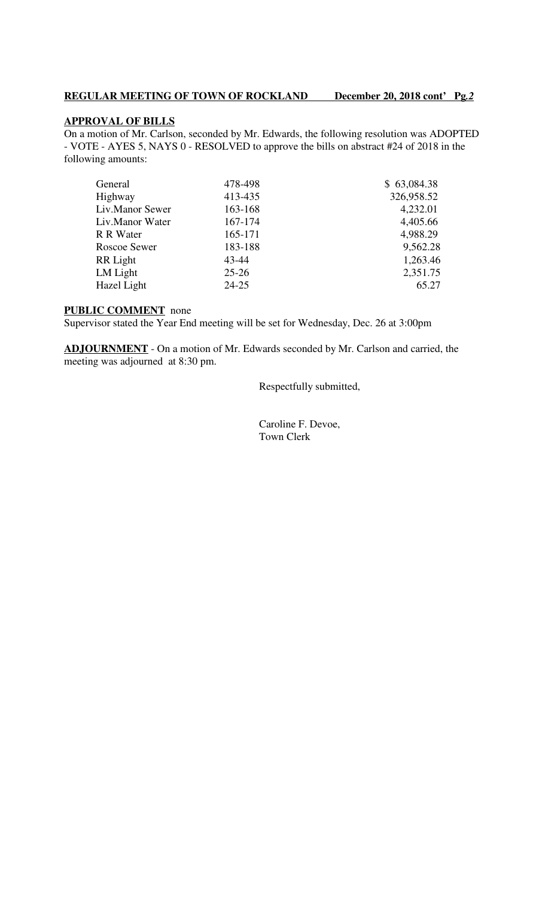# **REGULAR MEETING OF TOWN OF ROCKLAND December 20, 2018 cont' Pg***.2*

# **APPROVAL OF BILLS**

On a motion of Mr. Carlson, seconded by Mr. Edwards, the following resolution was ADOPTED - VOTE - AYES 5, NAYS 0 - RESOLVED to approve the bills on abstract #24 of 2018 in the following amounts:

| General             | 478-498   | \$63,084.38 |
|---------------------|-----------|-------------|
| Highway             | 413-435   | 326,958.52  |
| Liv.Manor Sewer     | 163-168   | 4,232.01    |
| Liv.Manor Water     | 167-174   | 4,405.66    |
| R R Water           | 165-171   | 4,988.29    |
| <b>Roscoe Sewer</b> | 183-188   | 9,562.28    |
| RR Light            | 43-44     | 1,263.46    |
| LM Light            | $25 - 26$ | 2,351.75    |
| Hazel Light         | $24 - 25$ | 65.27       |
|                     |           |             |

## **PUBLIC COMMENT** none

Supervisor stated the Year End meeting will be set for Wednesday, Dec. 26 at 3:00pm

**ADJOURNMENT** - On a motion of Mr. Edwards seconded by Mr. Carlson and carried, the meeting was adjourned at 8:30 pm.

Respectfully submitted,

 Caroline F. Devoe, Town Clerk